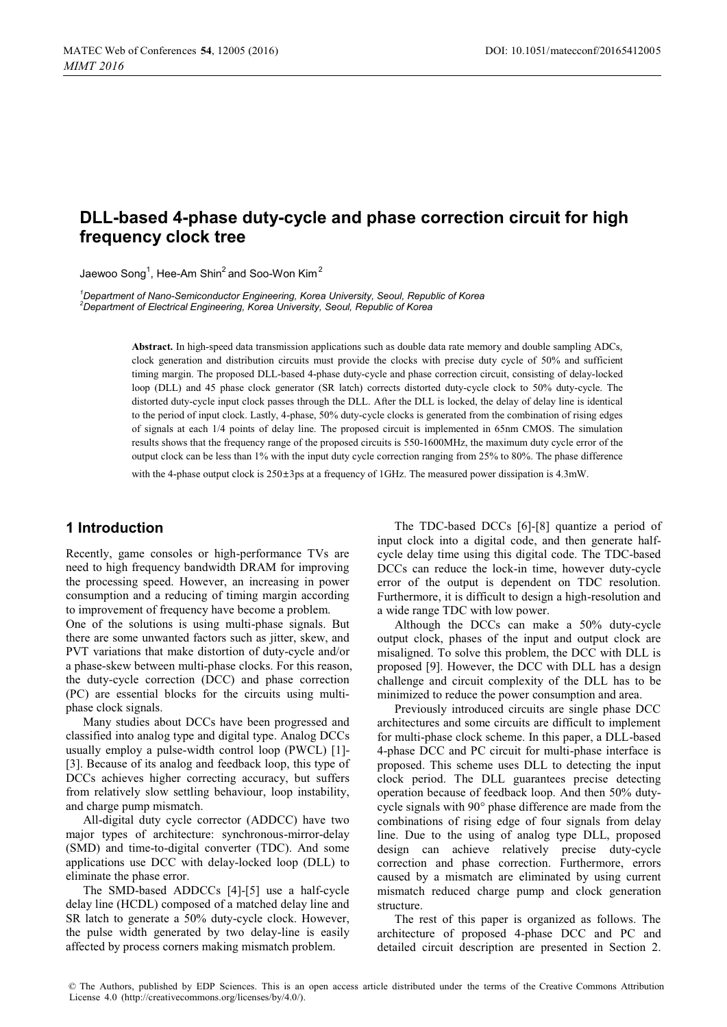# **DLL-based 4-phase duty-cycle and phase correction circuit for high frequency clock tree**

Jaewoo Song<sup>1</sup>, Hee-Am Shin<sup>2</sup> and Soo-Won Kim<sup>2</sup>

<sup>1</sup>Department of Nano-Semiconductor Engineering, Korea University, Seoul, Republic of Korea *2 Department of Electrical Engineering, Korea University, Seoul, Republic of Korea* 

> **Abstract.** In high-speed data transmission applications such as double data rate memory and double sampling ADCs, clock generation and distribution circuits must provide the clocks with precise duty cycle of 50% and sufficient timing margin. The proposed DLL-based 4-phase duty-cycle and phase correction circuit, consisting of delay-locked loop (DLL) and 45 phase clock generator (SR latch) corrects distorted duty-cycle clock to 50% duty-cycle. The distorted duty-cycle input clock passes through the DLL. After the DLL is locked, the delay of delay line is identical to the period of input clock. Lastly, 4-phase, 50% duty-cycle clocks is generated from the combination of rising edges of signals at each 1/4 points of delay line. The proposed circuit is implemented in 65nm CMOS. The simulation results shows that the frequency range of the proposed circuits is 550-1600MHz, the maximum duty cycle error of the output clock can be less than 1% with the input duty cycle correction ranging from 25% to 80%. The phase difference

with the 4-phase output clock is  $250\pm3$ ps at a frequency of 1GHz. The measured power dissipation is 4.3mW.

# **1 Introduction**

Recently, game consoles or high-performance TVs are need to high frequency bandwidth DRAM for improving the processing speed. However, an increasing in power consumption and a reducing of timing margin according to improvement of frequency have become a problem.

One of the solutions is using multi-phase signals. But there are some unwanted factors such as jitter, skew, and PVT variations that make distortion of duty-cycle and/or a phase-skew between multi-phase clocks. For this reason, the duty-cycle correction (DCC) and phase correction (PC) are essential blocks for the circuits using multiphase clock signals.

Many studies about DCCs have been progressed and classified into analog type and digital type. Analog DCCs usually employ a pulse-width control loop (PWCL) [1]- [3]. Because of its analog and feedback loop, this type of DCCs achieves higher correcting accuracy, but suffers from relatively slow settling behaviour, loop instability, and charge pump mismatch.

All-digital duty cycle corrector (ADDCC) have two major types of architecture: synchronous-mirror-delay (SMD) and time-to-digital converter (TDC). And some applications use DCC with delay-locked loop (DLL) to eliminate the phase error.

The SMD-based ADDCCs [4]-[5] use a half-cycle delay line (HCDL) composed of a matched delay line and SR latch to generate a 50% duty-cycle clock. However, the pulse width generated by two delay-line is easily affected by process corners making mismatch problem.

The TDC-based DCCs [6]-[8] quantize a period of input clock into a digital code, and then generate halfcycle delay time using this digital code. The TDC-based DCCs can reduce the lock-in time, however duty-cycle error of the output is dependent on TDC resolution. Furthermore, it is difficult to design a high-resolution and a wide range TDC with low power.

Although the DCCs can make a 50% duty-cycle output clock, phases of the input and output clock are misaligned. To solve this problem, the DCC with DLL is proposed [9]. However, the DCC with DLL has a design challenge and circuit complexity of the DLL has to be minimized to reduce the power consumption and area.

Previously introduced circuits are single phase DCC architectures and some circuits are difficult to implement for multi-phase clock scheme. In this paper, a DLL-based 4-phase DCC and PC circuit for multi-phase interface is proposed. This scheme uses DLL to detecting the input clock period. The DLL guarantees precise detecting operation because of feedback loop. And then 50% dutycycle signals with 90° phase difference are made from the combinations of rising edge of four signals from delay line. Due to the using of analog type DLL, proposed design can achieve relatively precise duty-cycle correction and phase correction. Furthermore, errors caused by a mismatch are eliminated by using current mismatch reduced charge pump and clock generation structure.

The rest of this paper is organized as follows. The architecture of proposed 4-phase DCC and PC and detailed circuit description are presented in Section 2.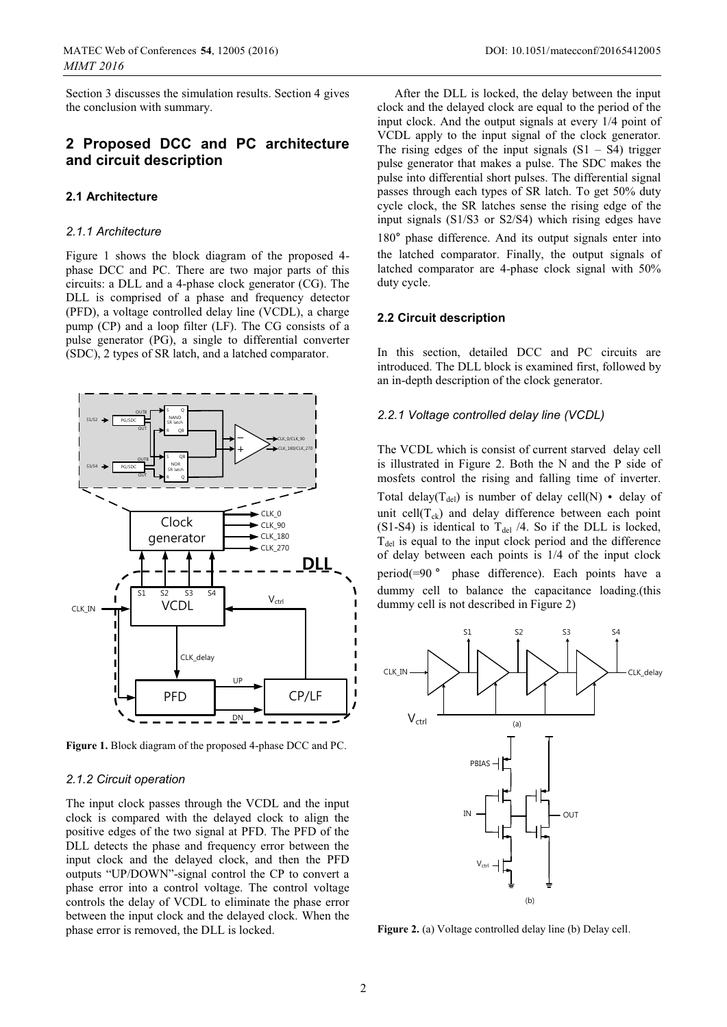Section 3 discusses the simulation results. Section 4 gives the conclusion with summary.

### **2 Proposed DCC and PC architecture and circuit description**

#### **2.1 Architecture**

#### *2.1.1 Architecture*

Figure 1 shows the block diagram of the proposed 4 phase DCC and PC. There are two major parts of this circuits: a DLL and a 4-phase clock generator (CG). The DLL is comprised of a phase and frequency detector (PFD), a voltage controlled delay line (VCDL), a charge pump (CP) and a loop filter (LF). The CG consists of a pulse generator (PG), a single to differential converter (SDC), 2 types of SR latch, and a latched comparator.



**Figure 1.** Block diagram of the proposed 4-phase DCC and PC.

#### *2.1.2 Circuit operation*

The input clock passes through the VCDL and the input clock is compared with the delayed clock to align the positive edges of the two signal at PFD. The PFD of the DLL detects the phase and frequency error between the input clock and the delayed clock, and then the PFD outputs "UP/DOWN"-signal control the CP to convert a phase error into a control voltage. The control voltage controls the delay of VCDL to eliminate the phase error between the input clock and the delayed clock. When the phase error is removed, the DLL is locked.

After the DLL is locked, the delay between the input clock and the delayed clock are equal to the period of the input clock. And the output signals at every 1/4 point of VCDL apply to the input signal of the clock generator. The rising edges of the input signals  $(S1 - S4)$  trigger pulse generator that makes a pulse. The SDC makes the pulse into differential short pulses. The differential signal passes through each types of SR latch. To get 50% duty cycle clock, the SR latches sense the rising edge of the input signals (S1/S3 or S2/S4) which rising edges have 180° phase difference. And its output signals enter into the latched comparator. Finally, the output signals of latched comparator are 4-phase clock signal with 50% duty cycle.

#### **2.2 Circuit description**

In this section, detailed DCC and PC circuits are introduced. The DLL block is examined first, followed by an in-depth description of the clock generator.

#### *2.2.1 Voltage controlled delay line (VCDL)*

The VCDL which is consist of current starved delay cell is illustrated in Figure 2. Both the N and the P side of mosfets control the rising and falling time of inverter. Total delay( $T_{del}$ ) is number of delay cell(N) • delay of unit cell( $T_{ck}$ ) and delay difference between each point (S1-S4) is identical to  $T_{\text{del}}$  /4. So if the DLL is locked,  $T_{\text{del}}$  is equal to the input clock period and the difference of delay between each points is 1/4 of the input clock period(=90° phase difference). Each points have a dummy cell to balance the capacitance loading.(this dummy cell is not described in Figure 2)



**Figure 2.** (a) Voltage controlled delay line (b) Delay cell.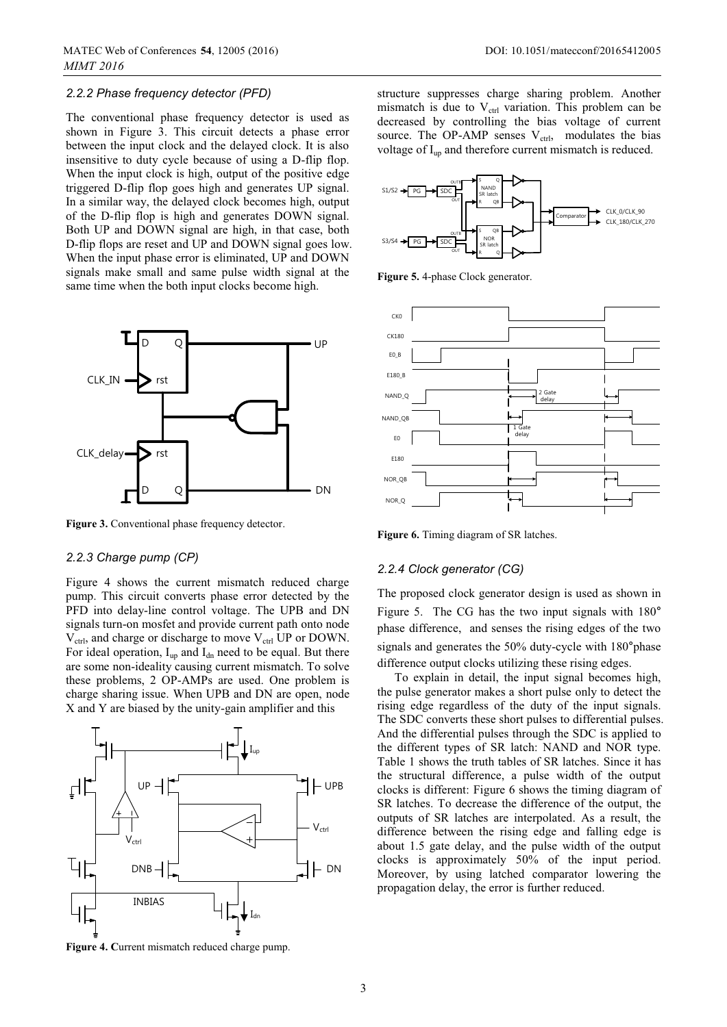#### *2.2.2 Phase frequency detector (PFD)*

The conventional phase frequency detector is used as shown in Figure 3. This circuit detects a phase error between the input clock and the delayed clock. It is also insensitive to duty cycle because of using a D-flip flop. When the input clock is high, output of the positive edge triggered D-flip flop goes high and generates UP signal. In a similar way, the delayed clock becomes high, output of the D-flip flop is high and generates DOWN signal. Both UP and DOWN signal are high, in that case, both D-flip flops are reset and UP and DOWN signal goes low. When the input phase error is eliminated, UP and DOWN signals make small and same pulse width signal at the same time when the both input clocks become high.



Figure 3. Conventional phase frequency detector.

#### *2.2.3 Charge pump (CP)*

Figure 4 shows the current mismatch reduced charge pump. This circuit converts phase error detected by the PFD into delay-line control voltage. The UPB and DN signals turn-on mosfet and provide current path onto node V<sub>ctrl</sub>, and charge or discharge to move V<sub>ctrl</sub> UP or DOWN. For ideal operation,  $I_{up}$  and  $I_{dn}$  need to be equal. But there are some non-ideality causing current mismatch. To solve these problems, 2 OP-AMPs are used. One problem is charge sharing issue. When UPB and DN are open, node X and Y are biased by the unity-gain amplifier and this



structure suppresses charge sharing problem. Another mismatch is due to  $V_{\text{ctrl}}$  variation. This problem can be decreased by controlling the bias voltage of current source. The OP-AMP senses  $V_{\text{ctrl}}$ , modulates the bias voltage of I<sub>up</sub> and therefore current mismatch is reduced.



**Figure 5.** 4-phase Clock generator.



**Figure 6.** Timing diagram of SR latches.

#### *2.2.4 Clock generator (CG)*

The proposed clock generator design is used as shown in Figure 5. The CG has the two input signals with  $180^\circ$ phase difference, and senses the rising edges of the two signals and generates the 50% duty-cycle with 180°phase difference output clocks utilizing these rising edges.

To explain in detail, the input signal becomes high, the pulse generator makes a short pulse only to detect the rising edge regardless of the duty of the input signals. The SDC converts these short pulses to differential pulses. And the differential pulses through the SDC is applied to the different types of SR latch: NAND and NOR type. Table 1 shows the truth tables of SR latches. Since it has the structural difference, a pulse width of the output clocks is different: Figure 6 shows the timing diagram of SR latches. To decrease the difference of the output, the outputs of SR latches are interpolated. As a result, the difference between the rising edge and falling edge is about 1.5 gate delay, and the pulse width of the output clocks is approximately 50% of the input period. Moreover, by using latched comparator lowering the propagation delay, the error is further reduced.

**Figure 4. C**urrent mismatch reduced charge pump.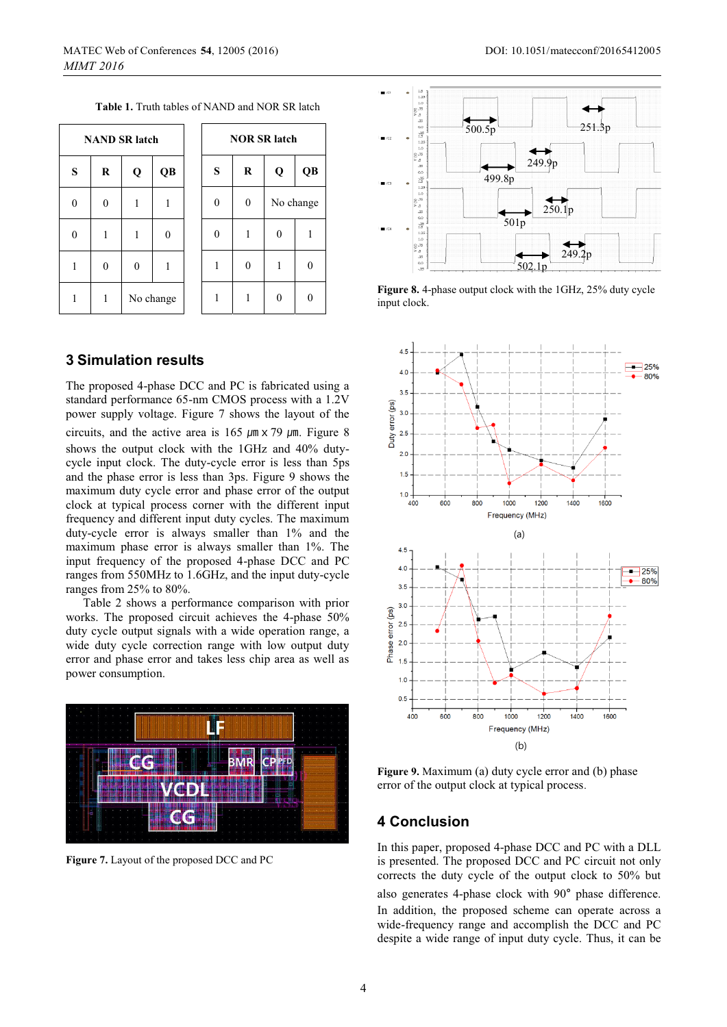**Table 1.** Truth tables of NAND and NOR SR latch

| <b>NAND SR latch</b> |          |              |          |  | <b>NOR SR latch</b> |                  |                  |                   |
|----------------------|----------|--------------|----------|--|---------------------|------------------|------------------|-------------------|
| S                    | $\bf{R}$ | Q            | QB       |  | S                   | $\bf{R}$         | Q                | QB                |
| $\boldsymbol{0}$     | $\theta$ | 1            | 1        |  | 0                   | $\boldsymbol{0}$ | No change        |                   |
| $\mathbf{0}$         | 1        | 1            | $\Omega$ |  | $\theta$            | 1                | $\boldsymbol{0}$ |                   |
| 1                    | $\theta$ | $\mathbf{0}$ | 1        |  | 1                   | $\theta$         | 1                | $\mathbf{\Omega}$ |
| 1                    | 1        | No change    |          |  |                     | 1                | $\theta$         |                   |

### **3 Simulation results**

The proposed 4-phase DCC and PC is fabricated using a standard performance 65-nm CMOS process with a 1.2V power supply voltage. Figure 7 shows the layout of the circuits, and the active area is 165  $\mu$ m x 79  $\mu$ m. Figure 8 shows the output clock with the 1GHz and 40% dutycycle input clock. The duty-cycle error is less than 5ps and the phase error is less than 3ps. Figure 9 shows the maximum duty cycle error and phase error of the output clock at typical process corner with the different input frequency and different input duty cycles. The maximum duty-cycle error is always smaller than 1% and the maximum phase error is always smaller than 1%. The input frequency of the proposed 4-phase DCC and PC ranges from 550MHz to 1.6GHz, and the input duty-cycle ranges from 25% to 80%.

Table 2 shows a performance comparison with prior works. The proposed circuit achieves the 4-phase 50% duty cycle output signals with a wide operation range, a wide duty cycle correction range with low output duty error and phase error and takes less chip area as well as power consumption.



**Figure 7.** Layout of the proposed DCC and PC



**Figure 8.** 4-phase output clock with the 1GHz, 25% duty cycle input clock.



**Figure 9.** Maximum (a) duty cycle error and (b) phase error of the output clock at typical process.

### **4 Conclusion**

In this paper, proposed 4-phase DCC and PC with a DLL is presented. The proposed DCC and PC circuit not only corrects the duty cycle of the output clock to 50% but also generates 4-phase clock with 90° phase difference. In addition, the proposed scheme can operate across a wide-frequency range and accomplish the DCC and PC despite a wide range of input duty cycle. Thus, it can be